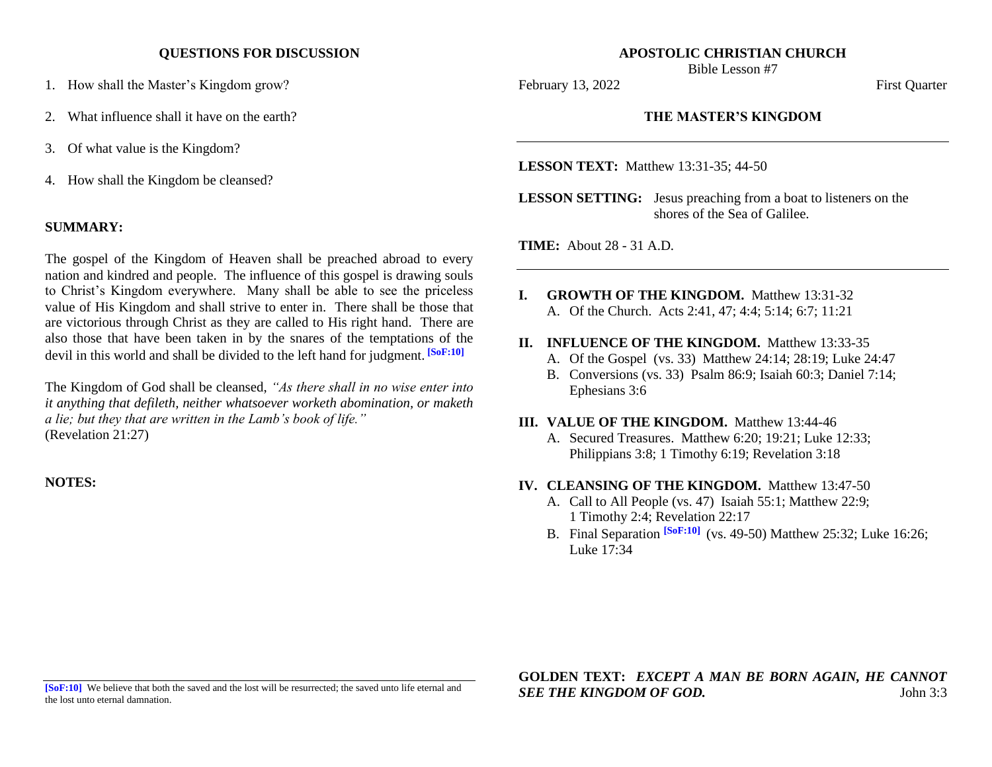### **QUESTIONS FOR DISCUSSION**

- 1. How shall the Master's Kingdom grow?
- 2. What influence shall it have on the earth?
- 3. Of what value is the Kingdom?
- 4. How shall the Kingdom be cleansed?

## **SUMMARY:**

The gospel of the Kingdom of Heaven shall be preached abroad to every nation and kindred and people. The influence of this gospel is drawing souls to Christ's Kingdom everywhere. Many shall be able to see the priceless value of His Kingdom and shall strive to enter in. There shall be those that are victorious through Christ as they are called to His right hand. There are also those that have been taken in by the snares of the temptations of the devil in this world and shall be divided to the left hand for judgment. **[SoF:10]**

The Kingdom of God shall be cleansed, *"As there shall in no wise enter into it anything that defileth, neither whatsoever worketh abomination, or maketh a lie; but they that are written in the Lamb's book of life."* (Revelation 21:27)

**NOTES:**

#### **APOSTOLIC CHRISTIAN CHURCH** Bible Lesson #7

February 13, 2022 First Quarter

## **THE MASTER'S KINGDOM**

**LESSON TEXT:** Matthew 13:31-35; 44-50

**LESSON SETTING:** Jesus preaching from a boat to listeners on the shores of the Sea of Galilee.

**TIME:** About 28 - 31 A.D.

- **I. GROWTH OF THE KINGDOM.** Matthew 13:31-32 A. Of the Church. Acts 2:41, 47; 4:4; 5:14; 6:7; 11:21
- **II. INFLUENCE OF THE KINGDOM.** Matthew 13:33-35
	- A. Of the Gospel (vs. 33) Matthew 24:14; 28:19; Luke 24:47
	- B. Conversions (vs. 33) Psalm 86:9; Isaiah 60:3; Daniel 7:14; Ephesians 3:6

#### **III. VALUE OF THE KINGDOM.** Matthew 13:44-46

A. Secured Treasures. Matthew 6:20; 19:21; Luke 12:33; Philippians 3:8; 1 Timothy 6:19; Revelation 3:18

## **IV. CLEANSING OF THE KINGDOM.** Matthew 13:47-50

- A. Call to All People (vs. 47) Isaiah 55:1; Matthew 22:9; 1 Timothy 2:4; Revelation 22:17
- B. Final Separation **[SoF:10]** (vs. 49-50) Matthew 25:32; Luke 16:26; Luke 17:34

**[SoF:10]** We believe that both the saved and the lost will be resurrected; the saved unto life eternal and the lost unto eternal damnation.

**GOLDEN TEXT:** *EXCEPT A MAN BE BORN AGAIN, HE CANNOT SEE THE KINGDOM OF GOD.* John 3:3